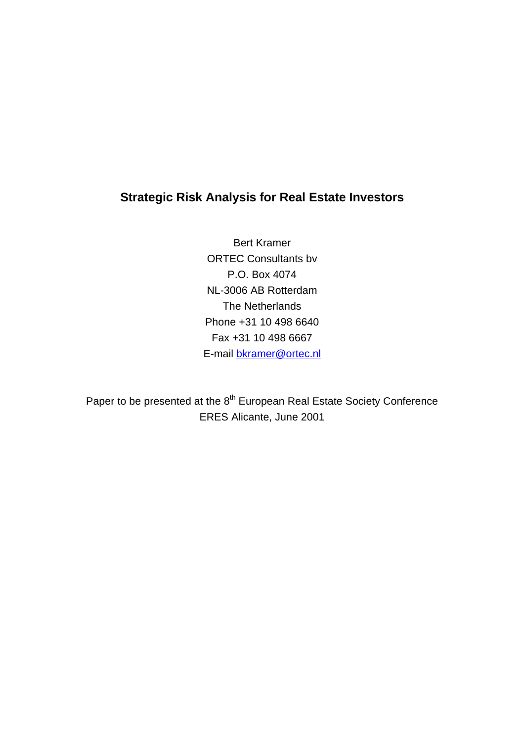# **Strategic Risk Analysis for Real Estate Investors**

Bert Kramer ORTEC Consultants bv P.O. Box 4074 NL-3006 AB Rotterdam The Netherlands Phone +31 10 498 6640 Fax +31 10 498 6667 E-mail bkramer@ortec.nl

Paper to be presented at the 8<sup>th</sup> European Real Estate Society Conference ERES Alicante, June 2001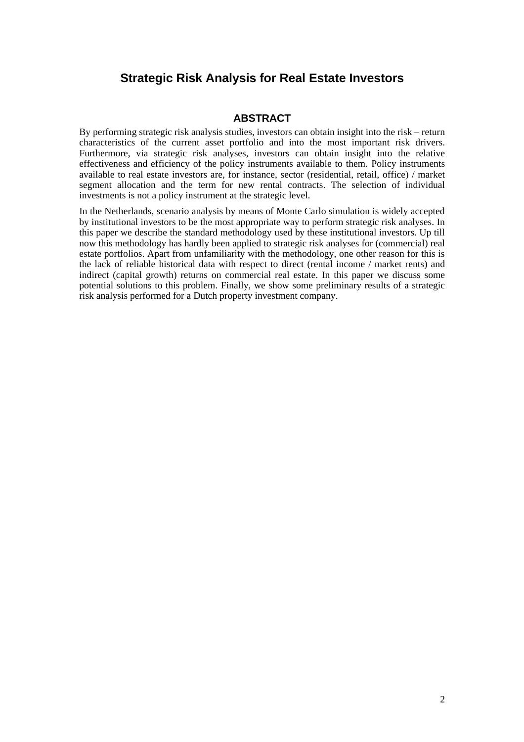# **Strategic Risk Analysis for Real Estate Investors**

#### **ABSTRACT**

By performing strategic risk analysis studies, investors can obtain insight into the risk – return characteristics of the current asset portfolio and into the most important risk drivers. Furthermore, via strategic risk analyses, investors can obtain insight into the relative effectiveness and efficiency of the policy instruments available to them. Policy instruments available to real estate investors are, for instance, sector (residential, retail, office) / market segment allocation and the term for new rental contracts. The selection of individual investments is not a policy instrument at the strategic level.

In the Netherlands, scenario analysis by means of Monte Carlo simulation is widely accepted by institutional investors to be the most appropriate way to perform strategic risk analyses. In this paper we describe the standard methodology used by these institutional investors. Up till now this methodology has hardly been applied to strategic risk analyses for (commercial) real estate portfolios. Apart from unfamiliarity with the methodology, one other reason for this is the lack of reliable historical data with respect to direct (rental income / market rents) and indirect (capital growth) returns on commercial real estate. In this paper we discuss some potential solutions to this problem. Finally, we show some preliminary results of a strategic risk analysis performed for a Dutch property investment company.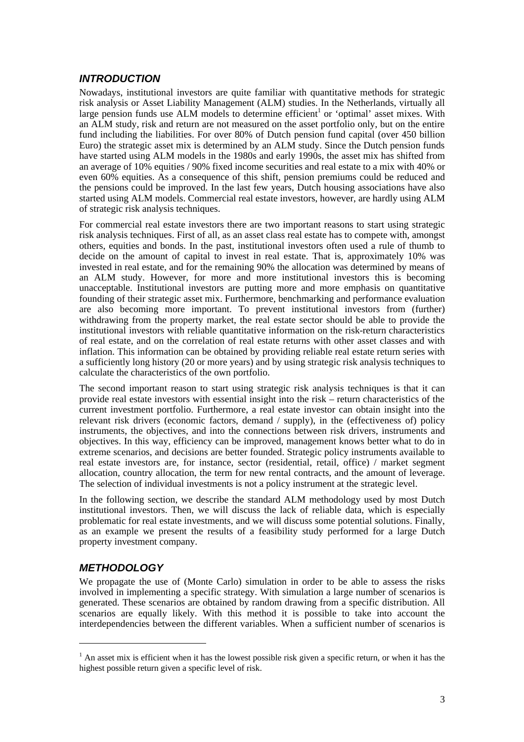### *INTRODUCTION*

Nowadays, institutional investors are quite familiar with quantitative methods for strategic risk analysis or Asset Liability Management (ALM) studies. In the Netherlands, virtually all large pension funds use ALM models to determine efficient<sup>1</sup> or 'optimal' asset mixes. With an ALM study, risk and return are not measured on the asset portfolio only, but on the entire fund including the liabilities. For over 80% of Dutch pension fund capital (over 450 billion Euro) the strategic asset mix is determined by an ALM study. Since the Dutch pension funds have started using ALM models in the 1980s and early 1990s, the asset mix has shifted from an average of 10% equities / 90% fixed income securities and real estate to a mix with 40% or even 60% equities. As a consequence of this shift, pension premiums could be reduced and the pensions could be improved. In the last few years, Dutch housing associations have also started using ALM models. Commercial real estate investors, however, are hardly using ALM of strategic risk analysis techniques.

For commercial real estate investors there are two important reasons to start using strategic risk analysis techniques. First of all, as an asset class real estate has to compete with, amongst others, equities and bonds. In the past, institutional investors often used a rule of thumb to decide on the amount of capital to invest in real estate. That is, approximately 10% was invested in real estate, and for the remaining 90% the allocation was determined by means of an ALM study. However, for more and more institutional investors this is becoming unacceptable. Institutional investors are putting more and more emphasis on quantitative founding of their strategic asset mix. Furthermore, benchmarking and performance evaluation are also becoming more important. To prevent institutional investors from (further) withdrawing from the property market, the real estate sector should be able to provide the institutional investors with reliable quantitative information on the risk-return characteristics of real estate, and on the correlation of real estate returns with other asset classes and with inflation. This information can be obtained by providing reliable real estate return series with a sufficiently long history (20 or more years) and by using strategic risk analysis techniques to calculate the characteristics of the own portfolio.

The second important reason to start using strategic risk analysis techniques is that it can provide real estate investors with essential insight into the risk – return characteristics of the current investment portfolio. Furthermore, a real estate investor can obtain insight into the relevant risk drivers (economic factors, demand / supply), in the (effectiveness of) policy instruments, the objectives, and into the connections between risk drivers, instruments and objectives. In this way, efficiency can be improved, management knows better what to do in extreme scenarios, and decisions are better founded. Strategic policy instruments available to real estate investors are, for instance, sector (residential, retail, office) / market segment allocation, country allocation, the term for new rental contracts, and the amount of leverage. The selection of individual investments is not a policy instrument at the strategic level.

In the following section, we describe the standard ALM methodology used by most Dutch institutional investors. Then, we will discuss the lack of reliable data, which is especially problematic for real estate investments, and we will discuss some potential solutions. Finally, as an example we present the results of a feasibility study performed for a large Dutch property investment company.

## *METHODOLOGY*

l

We propagate the use of (Monte Carlo) simulation in order to be able to assess the risks involved in implementing a specific strategy. With simulation a large number of scenarios is generated. These scenarios are obtained by random drawing from a specific distribution. All scenarios are equally likely. With this method it is possible to take into account the interdependencies between the different variables. When a sufficient number of scenarios is

 $<sup>1</sup>$  An asset mix is efficient when it has the lowest possible risk given a specific return, or when it has the</sup> highest possible return given a specific level of risk.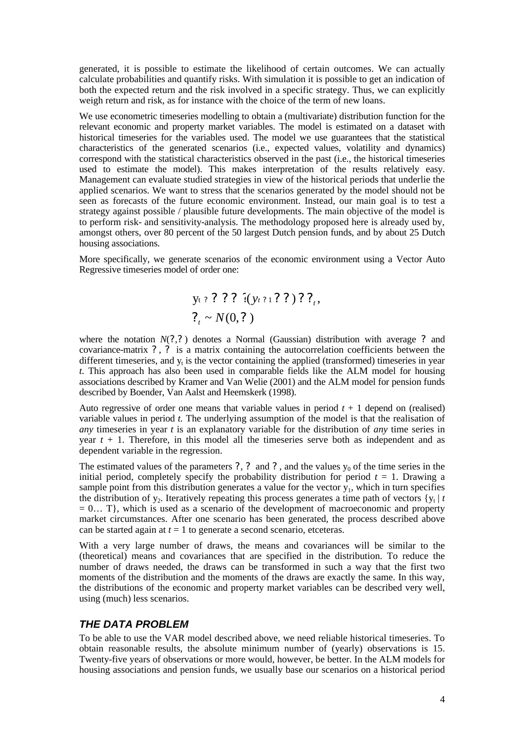generated, it is possible to estimate the likelihood of certain outcomes. We can actually calculate probabilities and quantify risks. With simulation it is possible to get an indication of both the expected return and the risk involved in a specific strategy. Thus, we can explicitly weigh return and risk, as for instance with the choice of the term of new loans.

We use econometric timeseries modelling to obtain a (multivariate) distribution function for the relevant economic and property market variables. The model is estimated on a dataset with historical timeseries for the variables used. The model we use guarantees that the statistical characteristics of the generated scenarios (i.e., expected values, volatility and dynamics) correspond with the statistical characteristics observed in the past (i.e., the historical timeseries used to estimate the model). This makes interpretation of the results relatively easy. Management can evaluate studied strategies in view of the historical periods that underlie the applied scenarios. We want to stress that the scenarios generated by the model should not be seen as forecasts of the future economic environment. Instead, our main goal is to test a strategy against possible / plausible future developments. The main objective of the model is to perform risk- and sensitivity-analysis. The methodology proposed here is already used by, amongst others, over 80 percent of the 50 largest Dutch pension funds, and by about 25 Dutch housing associations.

More specifically, we generate scenarios of the economic environment using a Vector Auto Regressive timeseries model of order one:

$$
y_{t 2} ? ? ? [(y_{t 21} ? ?) ? ?t,
$$
  

$$
?t \sim N(0, ?)
$$

where the notation  $N(?,?)$  denotes a Normal (Gaussian) distribution with average ? and covariance-matrix ? , ? is a matrix containing the autocorrelation coefficients between the different timeseries, and  $y_t$  is the vector containing the applied (transformed) timeseries in year *t*. This approach has also been used in comparable fields like the ALM model for housing associations described by Kramer and Van Welie (2001) and the ALM model for pension funds described by Boender, Van Aalst and Heemskerk (1998).

Auto regressive of order one means that variable values in period  $t + 1$  depend on (realised) variable values in period *t.* The underlying assumption of the model is that the realisation of *any* timeseries in year *t* is an explanatory variable for the distribution of *any* time series in year  $t + 1$ . Therefore, in this model all the timeseries serve both as independent and as dependent variable in the regression.

The estimated values of the parameters  $?$ ,  $?$  and  $?$ , and the values  $y_0$  of the time series in the initial period, completely specify the probability distribution for period  $t = 1$ . Drawing a sample point from this distribution generates a value for the vector  $y_1$ , which in turn specifies the distribution of  $y_2$ . Iteratively repeating this process generates a time path of vectors  $\{y_t | t$  $= 0...$  T}, which is used as a scenario of the development of macroeconomic and property market circumstances. After one scenario has been generated, the process described above can be started again at  $t = 1$  to generate a second scenario, etceteras.

With a very large number of draws, the means and covariances will be similar to the (theoretical) means and covariances that are specified in the distribution. To reduce the number of draws needed, the draws can be transformed in such a way that the first two moments of the distribution and the moments of the draws are exactly the same. In this way, the distributions of the economic and property market variables can be described very well, using (much) less scenarios.

#### *THE DATA PROBLEM*

To be able to use the VAR model described above, we need reliable historical timeseries. To obtain reasonable results, the absolute minimum number of (yearly) observations is 15. Twenty-five years of observations or more would, however, be better. In the ALM models for housing associations and pension funds, we usually base our scenarios on a historical period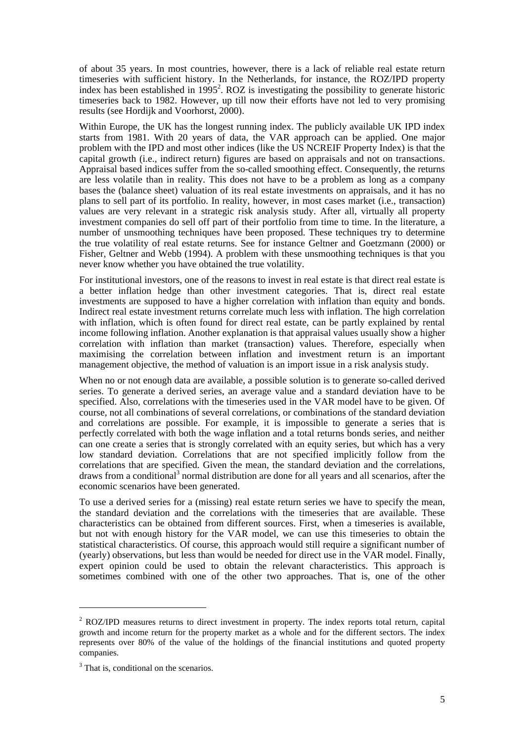of about 35 years. In most countries, however, there is a lack of reliable real estate return timeseries with sufficient history. In the Netherlands, for instance, the ROZ/IPD property index has been established in  $1995^2$ . ROZ is investigating the possibility to generate historic timeseries back to 1982. However, up till now their efforts have not led to very promising results (see Hordijk and Voorhorst, 2000).

Within Europe, the UK has the longest running index. The publicly available UK IPD index starts from 1981. With 20 years of data, the VAR approach can be applied. One major problem with the IPD and most other indices (like the US NCREIF Property Index) is that the capital growth (i.e., indirect return) figures are based on appraisals and not on transactions. Appraisal based indices suffer from the so-called smoothing effect. Consequently, the returns are less volatile than in reality. This does not have to be a problem as long as a company bases the (balance sheet) valuation of its real estate investments on appraisals, and it has no plans to sell part of its portfolio. In reality, however, in most cases market (i.e., transaction) values are very relevant in a strategic risk analysis study. After all, virtually all property investment companies do sell off part of their portfolio from time to time. In the literature, a number of unsmoothing techniques have been proposed. These techniques try to determine the true volatility of real estate returns. See for instance Geltner and Goetzmann (2000) or Fisher, Geltner and Webb (1994). A problem with these unsmoothing techniques is that you never know whether you have obtained the true volatility.

For institutional investors, one of the reasons to invest in real estate is that direct real estate is a better inflation hedge than other investment categories. That is, direct real estate investments are supposed to have a higher correlation with inflation than equity and bonds. Indirect real estate investment returns correlate much less with inflation. The high correlation with inflation, which is often found for direct real estate, can be partly explained by rental income following inflation. Another explanation is that appraisal values usually show a higher correlation with inflation than market (transaction) values. Therefore, especially when maximising the correlation between inflation and investment return is an important management objective, the method of valuation is an import issue in a risk analysis study.

When no or not enough data are available, a possible solution is to generate so-called derived series. To generate a derived series, an average value and a standard deviation have to be specified. Also, correlations with the timeseries used in the VAR model have to be given. Of course, not all combinations of several correlations, or combinations of the standard deviation and correlations are possible. For example, it is impossible to generate a series that is perfectly correlated with both the wage inflation and a total returns bonds series, and neither can one create a series that is strongly correlated with an equity series, but which has a very low standard deviation. Correlations that are not specified implicitly follow from the correlations that are specified. Given the mean, the standard deviation and the correlations, draws from a conditional<sup>3</sup> normal distribution are done for all years and all scenarios, after the economic scenarios have been generated.

To use a derived series for a (missing) real estate return series we have to specify the mean, the standard deviation and the correlations with the timeseries that are available. These characteristics can be obtained from different sources. First, when a timeseries is available, but not with enough history for the VAR model, we can use this timeseries to obtain the statistical characteristics. Of course, this approach would still require a significant number of (yearly) observations, but less than would be needed for direct use in the VAR model. Finally, expert opinion could be used to obtain the relevant characteristics. This approach is sometimes combined with one of the other two approaches. That is, one of the other

l

 $2$  ROZ/IPD measures returns to direct investment in property. The index reports total return, capital growth and income return for the property market as a whole and for the different sectors. The index represents over 80% of the value of the holdings of the financial institutions and quoted property companies.

<sup>&</sup>lt;sup>3</sup> That is, conditional on the scenarios.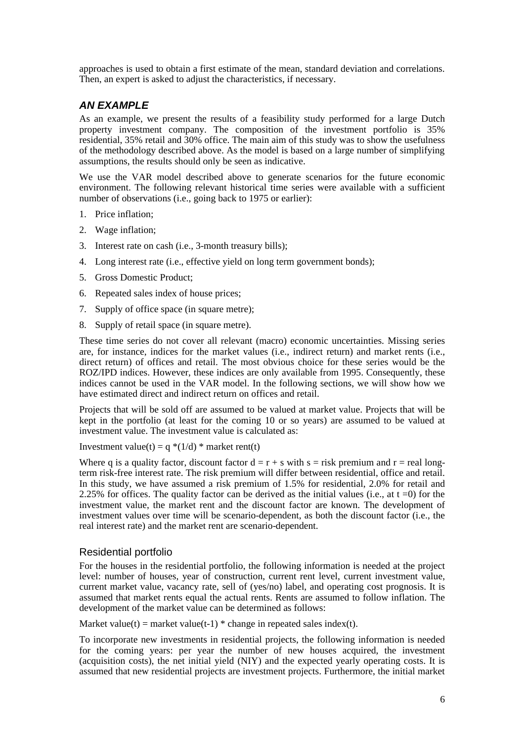approaches is used to obtain a first estimate of the mean, standard deviation and correlations. Then, an expert is asked to adjust the characteristics, if necessary.

## *AN EXAMPLE*

As an example, we present the results of a feasibility study performed for a large Dutch property investment company. The composition of the investment portfolio is 35% residential, 35% retail and 30% office. The main aim of this study was to show the usefulness of the methodology described above. As the model is based on a large number of simplifying assumptions, the results should only be seen as indicative.

We use the VAR model described above to generate scenarios for the future economic environment. The following relevant historical time series were available with a sufficient number of observations (i.e., going back to 1975 or earlier):

- 1. Price inflation;
- 2. Wage inflation;
- 3. Interest rate on cash (i.e., 3-month treasury bills);
- 4. Long interest rate (i.e., effective yield on long term government bonds);
- 5. Gross Domestic Product;
- 6. Repeated sales index of house prices;
- 7. Supply of office space (in square metre);
- 8. Supply of retail space (in square metre).

These time series do not cover all relevant (macro) economic uncertainties. Missing series are, for instance, indices for the market values (i.e., indirect return) and market rents (i.e., direct return) of offices and retail. The most obvious choice for these series would be the ROZ/IPD indices. However, these indices are only available from 1995. Consequently, these indices cannot be used in the VAR model. In the following sections, we will show how we have estimated direct and indirect return on offices and retail.

Projects that will be sold off are assumed to be valued at market value. Projects that will be kept in the portfolio (at least for the coming 10 or so years) are assumed to be valued at investment value. The investment value is calculated as:

Investment value(t) =  $q * (1/d) *$  market rent(t)

Where q is a quality factor, discount factor  $d = r + s$  with  $s =$  risk premium and  $r =$  real longterm risk-free interest rate. The risk premium will differ between residential, office and retail. In this study, we have assumed a risk premium of 1.5% for residential, 2.0% for retail and 2.25% for offices. The quality factor can be derived as the initial values (i.e., at  $t = 0$ ) for the investment value, the market rent and the discount factor are known. The development of investment values over time will be scenario-dependent, as both the discount factor (i.e., the real interest rate) and the market rent are scenario-dependent.

#### Residential portfolio

For the houses in the residential portfolio, the following information is needed at the project level: number of houses, year of construction, current rent level, current investment value, current market value, vacancy rate, sell of (yes/no) label, and operating cost prognosis. It is assumed that market rents equal the actual rents. Rents are assumed to follow inflation. The development of the market value can be determined as follows:

Market value(t) = market value(t-1) \* change in repeated sales index(t).

To incorporate new investments in residential projects, the following information is needed for the coming years: per year the number of new houses acquired, the investment (acquisition costs), the net initial yield (NIY) and the expected yearly operating costs. It is assumed that new residential projects are investment projects. Furthermore, the initial market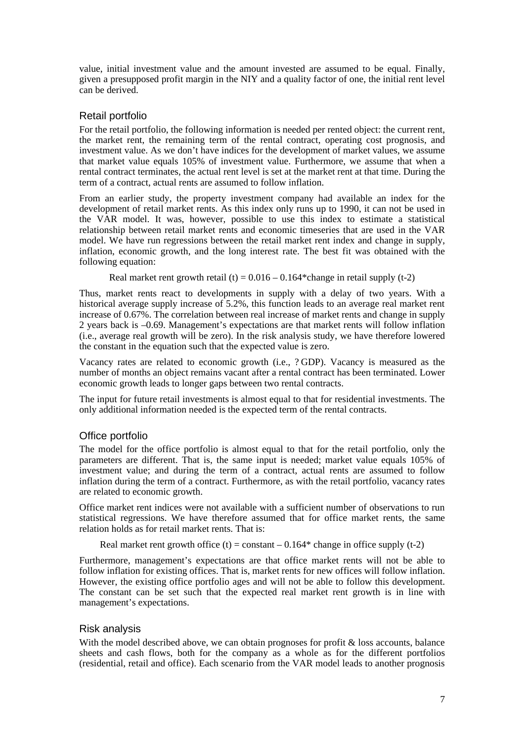value, initial investment value and the amount invested are assumed to be equal. Finally, given a presupposed profit margin in the NIY and a quality factor of one, the initial rent level can be derived.

# Retail portfolio

For the retail portfolio, the following information is needed per rented object: the current rent, the market rent, the remaining term of the rental contract, operating cost prognosis, and investment value. As we don't have indices for the development of market values, we assume that market value equals 105% of investment value. Furthermore, we assume that when a rental contract terminates, the actual rent level is set at the market rent at that time. During the term of a contract, actual rents are assumed to follow inflation.

From an earlier study, the property investment company had available an index for the development of retail market rents. As this index only runs up to 1990, it can not be used in the VAR model. It was, however, possible to use this index to estimate a statistical relationship between retail market rents and economic timeseries that are used in the VAR model. We have run regressions between the retail market rent index and change in supply, inflation, economic growth, and the long interest rate. The best fit was obtained with the following equation:

Real market rent growth retail (t) =  $0.016 - 0.164*$ change in retail supply (t-2)

Thus, market rents react to developments in supply with a delay of two years. With a historical average supply increase of 5.2%, this function leads to an average real market rent increase of 0.67%. The correlation between real increase of market rents and change in supply 2 years back is –0.69. Management's expectations are that market rents will follow inflation (i.e., average real growth will be zero). In the risk analysis study, we have therefore lowered the constant in the equation such that the expected value is zero.

Vacancy rates are related to economic growth (i.e., ? GDP). Vacancy is measured as the number of months an object remains vacant after a rental contract has been terminated. Lower economic growth leads to longer gaps between two rental contracts.

The input for future retail investments is almost equal to that for residential investments. The only additional information needed is the expected term of the rental contracts.

## Office portfolio

The model for the office portfolio is almost equal to that for the retail portfolio, only the parameters are different. That is, the same input is needed; market value equals 105% of investment value; and during the term of a contract, actual rents are assumed to follow inflation during the term of a contract. Furthermore, as with the retail portfolio, vacancy rates are related to economic growth.

Office market rent indices were not available with a sufficient number of observations to run statistical regressions. We have therefore assumed that for office market rents, the same relation holds as for retail market rents. That is:

Real market rent growth office (t) = constant  $-0.164*$  change in office supply (t-2)

Furthermore, management's expectations are that office market rents will not be able to follow inflation for existing offices. That is, market rents for new offices will follow inflation. However, the existing office portfolio ages and will not be able to follow this development. The constant can be set such that the expected real market rent growth is in line with management's expectations.

#### Risk analysis

With the model described above, we can obtain prognoses for profit & loss accounts, balance sheets and cash flows, both for the company as a whole as for the different portfolios (residential, retail and office). Each scenario from the VAR model leads to another prognosis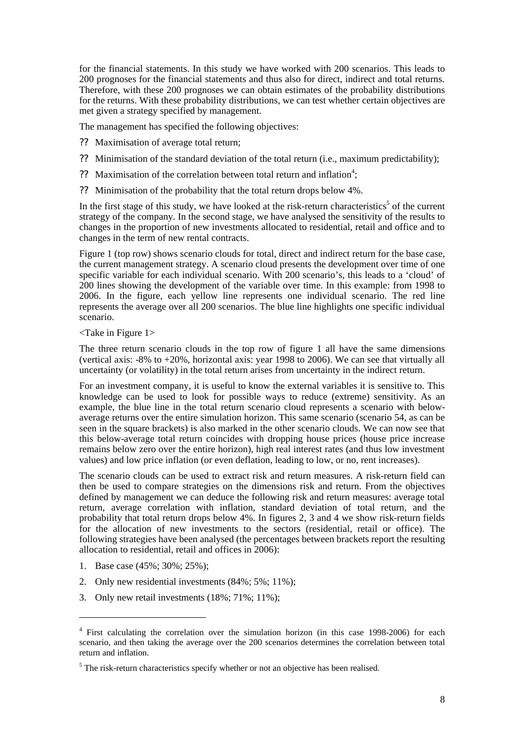for the financial statements. In this study we have worked with 200 scenarios. This leads to 200 prognoses for the financial statements and thus also for direct, indirect and total returns. Therefore, with these 200 prognoses we can obtain estimates of the probability distributions for the returns. With these probability distributions, we can test whether certain objectives are met given a strategy specified by management.

The management has specified the following objectives:

- ?? Maximisation of average total return;
- ?? Minimisation of the standard deviation of the total return (i.e., maximum predictability);
- ?? Maximisation of the correlation between total return and inflation<sup>4</sup>;
- ?? Minimisation of the probability that the total return drops below 4%.

In the first stage of this study, we have looked at the risk-return characteristics<sup>5</sup> of the current strategy of the company. In the second stage, we have analysed the sensitivity of the results to changes in the proportion of new investments allocated to residential, retail and office and to changes in the term of new rental contracts.

Figure 1 (top row) shows scenario clouds for total, direct and indirect return for the base case, the current management strategy. A scenario cloud presents the development over time of one specific variable for each individual scenario. With 200 scenario's, this leads to a 'cloud' of 200 lines showing the development of the variable over time. In this example: from 1998 to 2006. In the figure, each yellow line represents one individual scenario. The red line represents the average over all 200 scenarios. The blue line highlights one specific individual scenario.

#### <Take in Figure 1>

The three return scenario clouds in the top row of figure 1 all have the same dimensions (vertical axis: -8% to +20%, horizontal axis: year 1998 to 2006). We can see that virtually all uncertainty (or volatility) in the total return arises from uncertainty in the indirect return.

For an investment company, it is useful to know the external variables it is sensitive to. This knowledge can be used to look for possible ways to reduce (extreme) sensitivity. As an example, the blue line in the total return scenario cloud represents a scenario with belowaverage returns over the entire simulation horizon. This same scenario (scenario 54, as can be seen in the square brackets) is also marked in the other scenario clouds. We can now see that this below-average total return coincides with dropping house prices (house price increase remains below zero over the entire horizon), high real interest rates (and thus low investment values) and low price inflation (or even deflation, leading to low, or no, rent increases).

The scenario clouds can be used to extract risk and return measures. A risk-return field can then be used to compare strategies on the dimensions risk and return. From the objectives defined by management we can deduce the following risk and return measures: average total return, average correlation with inflation, standard deviation of total return, and the probability that total return drops below 4%. In figures 2, 3 and 4 we show risk-return fields for the allocation of new investments to the sectors (residential, retail or office). The following strategies have been analysed (the percentages between brackets report the resulting allocation to residential, retail and offices in 2006):

1. Base case (45%; 30%; 25%);

 $\overline{\phantom{a}}$ 

- 2. Only new residential investments (84%; 5%; 11%);
- 3. Only new retail investments (18%; 71%; 11%);

<sup>&</sup>lt;sup>4</sup> First calculating the correlation over the simulation horizon (in this case 1998-2006) for each scenario, and then taking the average over the 200 scenarios determines the correlation between total return and inflation.

 $<sup>5</sup>$  The risk-return characteristics specify whether or not an objective has been realised.</sup>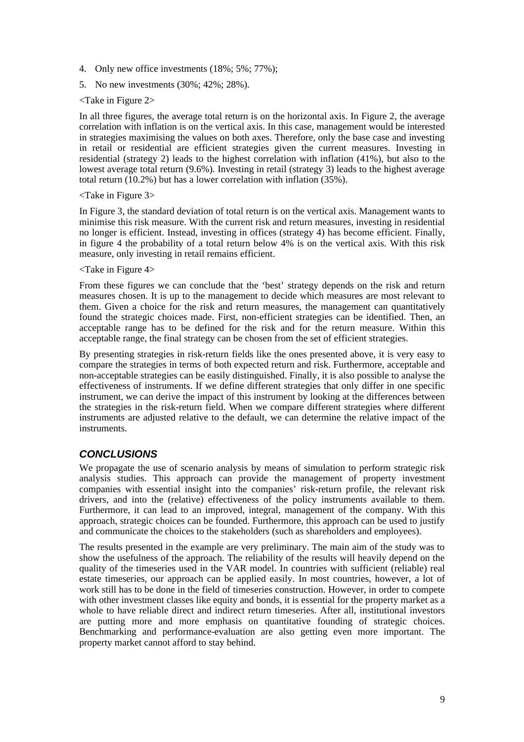- 4. Only new office investments (18%; 5%; 77%);
- 5. No new investments (30%; 42%; 28%).

#### <Take in Figure 2>

In all three figures, the average total return is on the horizontal axis. In Figure 2, the average correlation with inflation is on the vertical axis. In this case, management would be interested in strategies maximising the values on both axes. Therefore, only the base case and investing in retail or residential are efficient strategies given the current measures. Investing in residential (strategy 2) leads to the highest correlation with inflation (41%), but also to the lowest average total return (9.6%). Investing in retail (strategy 3) leads to the highest average total return (10.2%) but has a lower correlation with inflation (35%).

<Take in Figure 3>

In Figure 3, the standard deviation of total return is on the vertical axis. Management wants to minimise this risk measure. With the current risk and return measures, investing in residential no longer is efficient. Instead, investing in offices (strategy 4) has become efficient. Finally, in figure 4 the probability of a total return below 4% is on the vertical axis. With this risk measure, only investing in retail remains efficient.

#### <Take in Figure 4>

From these figures we can conclude that the 'best' strategy depends on the risk and return measures chosen. It is up to the management to decide which measures are most relevant to them. Given a choice for the risk and return measures, the management can quantitatively found the strategic choices made. First, non-efficient strategies can be identified. Then, an acceptable range has to be defined for the risk and for the return measure. Within this acceptable range, the final strategy can be chosen from the set of efficient strategies.

By presenting strategies in risk-return fields like the ones presented above, it is very easy to compare the strategies in terms of both expected return and risk. Furthermore, acceptable and non-acceptable strategies can be easily distinguished. Finally, it is also possible to analyse the effectiveness of instruments. If we define different strategies that only differ in one specific instrument, we can derive the impact of this instrument by looking at the differences between the strategies in the risk-return field. When we compare different strategies where different instruments are adjusted relative to the default, we can determine the relative impact of the instruments.

## *CONCLUSIONS*

We propagate the use of scenario analysis by means of simulation to perform strategic risk analysis studies. This approach can provide the management of property investment companies with essential insight into the companies' risk-return profile, the relevant risk drivers, and into the (relative) effectiveness of the policy instruments available to them. Furthermore, it can lead to an improved, integral, management of the company. With this approach, strategic choices can be founded. Furthermore, this approach can be used to justify and communicate the choices to the stakeholders (such as shareholders and employees).

The results presented in the example are very preliminary. The main aim of the study was to show the usefulness of the approach. The reliability of the results will heavily depend on the quality of the timeseries used in the VAR model. In countries with sufficient (reliable) real estate timeseries, our approach can be applied easily. In most countries, however, a lot of work still has to be done in the field of timeseries construction. However, in order to compete with other investment classes like equity and bonds, it is essential for the property market as a whole to have reliable direct and indirect return timeseries. After all, institutional investors are putting more and more emphasis on quantitative founding of strategic choices. Benchmarking and performance-evaluation are also getting even more important. The property market cannot afford to stay behind.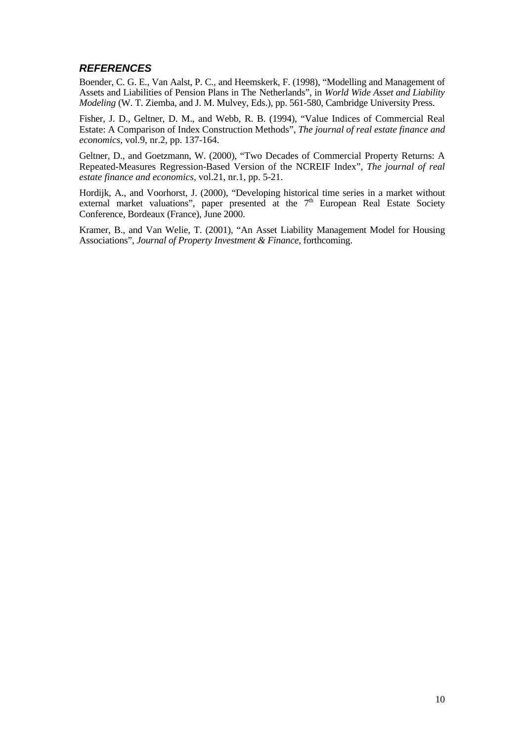## *REFERENCES*

Boender, C. G. E., Van Aalst, P. C., and Heemskerk, F. (1998), "Modelling and Management of Assets and Liabilities of Pension Plans in The Netherlands", in *World Wide Asset and Liability Modeling* (W. T. Ziemba, and J. M. Mulvey, Eds.), pp. 561-580, Cambridge University Press.

Fisher, J. D., Geltner, D. M., and Webb, R. B. (1994), "Value Indices of Commercial Real Estate: A Comparison of Index Construction Methods", *The journal of real estate finance and economics*, vol.9, nr.2, pp. 137-164.

Geltner, D., and Goetzmann, W. (2000), "Two Decades of Commercial Property Returns: A Repeated-Measures Regression-Based Version of the NCREIF Index", *The journal of real estate finance and economics*, vol.21, nr.1, pp. 5-21.

Hordijk, A., and Voorhorst, J. (2000), "Developing historical time series in a market without external market valuations", paper presented at the 7<sup>th</sup> European Real Estate Society Conference, Bordeaux (France), June 2000.

Kramer, B., and Van Welie, T. (2001), "An Asset Liability Management Model for Housing Associations", *Journal of Property Investment & Finance*, forthcoming.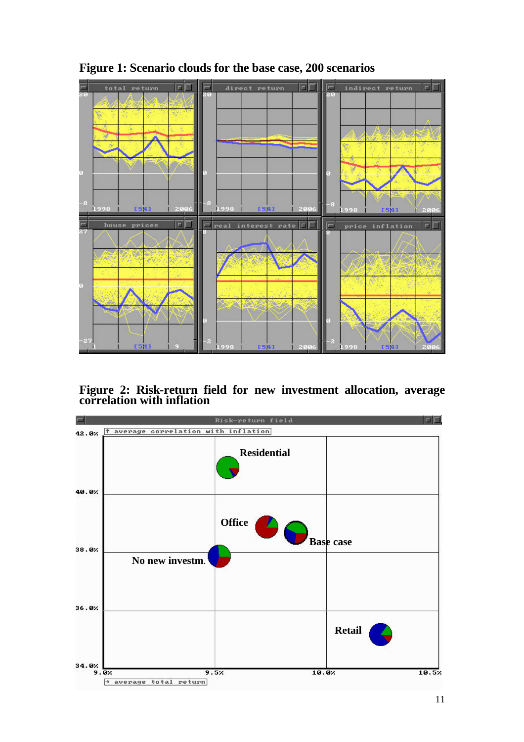

**Figure 1: Scenario clouds for the base case, 200 scenarios**

**Figure 2: Risk-return field for new investment allocation, average correlation with inflation**